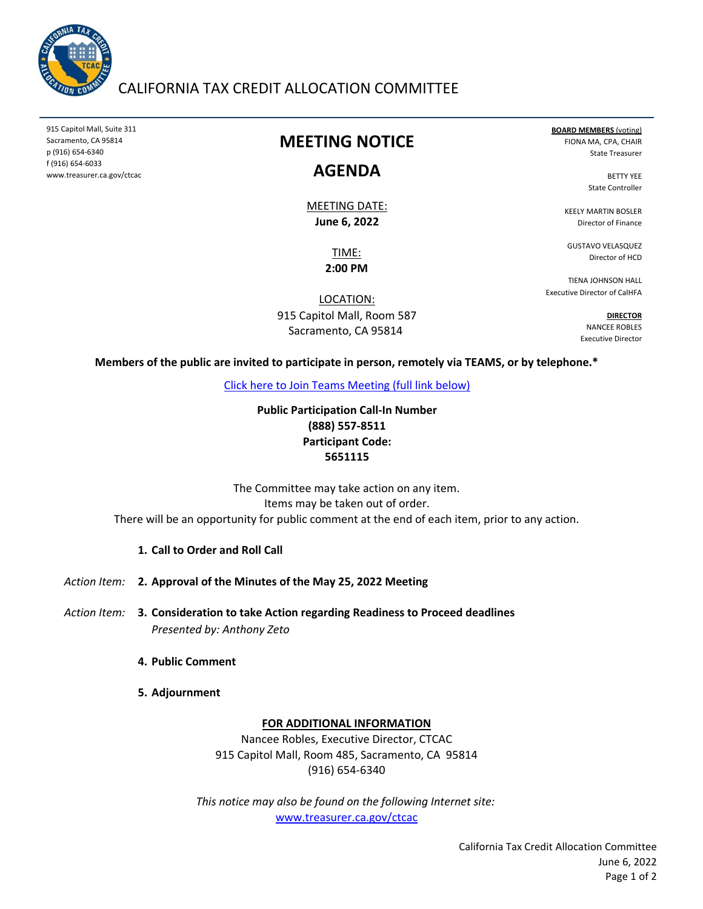

## CALIFORNIA TAX CREDIT ALLOCATION COMMITTEE

915 Capitol Mall, Suite 311 Sacramento, CA 95814 p (916) 654‐6340 f (916) 654‐6033 www.treasurer.ca.gov/ctcac

## **MEETING NOTICE**

## **AGENDA**

**June 6, 2022** MEETING DATE:

> TIME: **2:00 PM**

LOCATION: 915 Capitol Mall, Room 587 Sacramento, CA 95814

**BOARD MEMBERS** (voting) FIONA MA, CPA, CHAIR State Treasurer

> BETTY YEE State Controller

KEELY MARTIN BOSLER Director of Finance

GUSTAVO VELASQUEZ Director of HCD

TIENA JOHNSON HALL Executive Director of CalHFA

> **DIRECTOR** NANCEE ROBLES Executive Director

**Members of the public are invited to participate in person, remotely via TEAMS, or by telephone.\***

[Click here to Join Teams Meeting \(full link below\)](https://teams.microsoft.com/l/meetup-join/19%3ameeting_MTk4MjUxOWEtNmY1Ny00ODg5LWFlYzEtNDViNjUwZWVjZWMw%40thread.v2/0?context=%7b%22Tid%22%3a%223bee5c8a-6cb4-4c10-a77b-cd2eaeb7534e%22%2c%22Oid%22%3a%22f3fc5ca6-ee10-4849-9497-a76e07f79e6e%22%7d)

**(888) 557‐8511 Participant Code: 5651115 Public Participation Call‐In Number**

There will be an opportunity for public comment at the end of each item, prior to any action. The Committee may take action on any item. Items may be taken out of order.

#### **1. Call to Order and Roll Call**

Action Item: **2. Approval of the Minutes of the May 25, 2022 Meeting** 

- *Action Item:* **3. Consideration to take Action regarding Readiness to Proceed deadlines** *Presented by: Anthony Zeto*
	- **4. Public Comment**
	- **5. Adjournment**

#### **FOR ADDITIONAL INFORMATION**

Nancee Robles, Executive Director, CTCAC 915 Capitol Mall, Room 485, Sacramento, CA 95814 (916) 654‐6340

*This notice may also be found on the following Internet site:* www.treasurer.ca.gov/ctcac